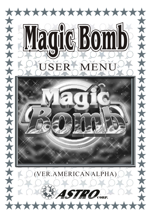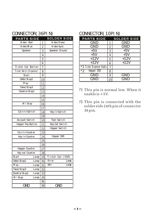## CONNECTOR(36PIN) CONNECTOR(10PIN)

| <b>PARTS SIDE</b>        |      |                | <b>SOLDER SIDE</b>              |
|--------------------------|------|----------------|---------------------------------|
| Vi deo Red               |      | 1              | Vi deo Green                    |
| Vi deo Bl ue             |      | $\overline{c}$ | Vi deo Sync.                    |
| Speaker                  |      | 3              | Speaker Ground                  |
|                          |      | 4              |                                 |
|                          |      | 5              |                                 |
|                          |      | 6              |                                 |
| Ticket Out Button        |      | 7              |                                 |
| Ticket Notch (Dispenser) |      | 8              |                                 |
| Start                    |      | 9              |                                 |
| Odds/Stop2               |      | 10             |                                 |
| Pl ay                    |      | 11             |                                 |
| Take/Stop3               |      | 12             |                                 |
| Doubl e/Stop1            |      | 13             |                                 |
|                          |      | 14             |                                 |
|                          |      | 15             |                                 |
| All Stop                 |      | 16             |                                 |
|                          |      | 17             |                                 |
| Coin In Switch           |      | 18             | Key In Switch                   |
|                          |      | 19             |                                 |
| Account Switch           |      | 20             | Test Switch                     |
| Hopper Pay Button        |      | 21             | Key Out Switch                  |
|                          |      | 22             | Hopper Switch                   |
| Coin In Counter          |      | 23             |                                 |
| Key I n Counter          |      | 24             | Hopper SSR                      |
|                          |      | 25             |                                 |
|                          |      | 26             |                                 |
| Hopper Counter           |      | 27             |                                 |
| Key out Counter          |      | 28             |                                 |
| Start                    | Lamp | 29             | Ti cket Out<br>(SSR)            |
| Odds/Stop2               | Lamp | 30             | Error<br>Lamp                   |
| Pl ay                    | Lamp | 31             | $\overline{\text{W}}$ n<br>Lamp |
| Take/Stop3               | Lamp | 32             |                                 |
| Doubl e/Stop1            | Lamp | 33             |                                 |
| $\overline{AI}$ I Stop   | Lamp | 34             |                                 |
|                          |      | 35             |                                 |
| <b>GND</b>               |      | 36             | <b>GND</b>                      |

| <b>PARTS SIDE</b>       |    | <b>SOLDER SIDE</b> |      | <b>PARTS SIDE</b>           |                | <b>SOLDER SIDE</b> |
|-------------------------|----|--------------------|------|-----------------------------|----------------|--------------------|
| Vi deo Red              |    | Vi deo Green       |      | GND                         | 1              | GND                |
| Vi deo Bl ue            | 2  | Vi deo Sync.       |      | GND                         | 2              | GND                |
| Speaker                 | 3  | Speaker Ground     |      | $+5V$                       | 3              | $+5V$              |
|                         | 4  |                    |      | $+5V$                       | $\overline{4}$ | $+5V$              |
|                         | 5  |                    |      | $+12V$                      | 5              | $+12V$             |
|                         | 6  |                    |      | $+12V$                      | 6              | $+12V$             |
| Ticket Out Button       | 7  |                    |      | *1 Ticket Dispenser Enablel | $\overline{7}$ |                    |
| icket Notch (Dispenser) | 8  |                    | $*2$ | Hopper SSR                  | 8              |                    |
| Start                   | 9  |                    |      | GND                         | 9              | GND                |
| Odds/Stop2              | 10 |                    |      | GNL                         | 10             | GND                |

- This pin is normal low. When it enable is +5V. (\*1)
- This pin is connected with the solder side 24th pin of connector 36 pin.  $(2)$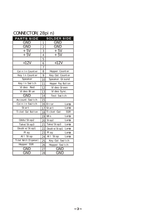# CONNECTOR(28pin)

| <b>PARTS SIDE</b>          | <b>SOLDER SIDE</b> |                   |      |  |
|----------------------------|--------------------|-------------------|------|--|
| GND                        | 1                  | GND               |      |  |
| GND                        | $\overline{2}$     | $\overline{GND}$  |      |  |
| $+5V$                      | 3                  | $+5V$             |      |  |
| $+5V$                      | 4                  | $+5V$             |      |  |
|                            | 5                  |                   |      |  |
| $+12V$                     | 6                  | $+12V$            |      |  |
|                            | $\overline{7}$     |                   |      |  |
| Coin In Counter            | 8                  | Hopper Counter    |      |  |
| Key In Counter             | 9                  | Key Out Counter   |      |  |
| Speaker                    | 10                 | Speaker Ground    |      |  |
| Key In Switch              | 11                 | Hopper Pay Button |      |  |
| Vi deo<br>Red              | 12                 | Vi deo Green      |      |  |
| Vi deo Bl ue               | 13                 | Vi deo Sync.      |      |  |
| GND                        | 14                 | Test Switch       |      |  |
| Account Switch             | 15                 |                   |      |  |
| Coinin Switch              |                    | 16 Error          | Lamp |  |
| Start                      |                    | 17 Start          | Lamp |  |
| Ticket Out Button          |                    | 18 Ti cket Out    | SSR  |  |
|                            | 19                 | W n               | Lamp |  |
| Odds/Stop2                 |                    | $20$ Stop2        | Lamp |  |
| Take/Stop3                 | 21                 | Take/Stop3        | Lamp |  |
| Double/Stop1               | 22                 | Double/Stop1      | Lamp |  |
| Pl ay                      | 23                 | Pl ay             | Lamp |  |
| All Stop                   | 24                 | All Stop          | Lamp |  |
| Ti cket Notch (Di spenser) | 25                 | Key Out Switch    |      |  |
| Hopper SSR                 | 26                 | Hopper Switch     |      |  |
| GND                        | 27                 | GND               |      |  |
| GND                        | 28                 | GND               |      |  |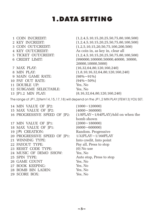# 1.DATA SETTING

| 1 COIN IN/CREDIT:<br>2 KEY IN/CREDIT: | $(1,2,4,5,10,15,20,25,50,75,80,100,500)$<br>$(1,2,4,5,10,15,20,25,50,75,80,100,500)$    |
|---------------------------------------|-----------------------------------------------------------------------------------------|
| 3 COIN OUT/CREDIT:                    | (1,2,5,10,15,20,50,75,100,200,500)                                                      |
| 4 KEY OUT/CREDIT:                     | As coin in, as key in, clear all                                                        |
| 5 TICKET OUT/CREDIT:                  | $(1,2,4,5,10,15,20,25,50,75,80,100,500)$                                                |
| 6 CREDIT LIMIT:                       | (990000,100000,50000,40000,30000,                                                       |
|                                       | 20000,10000,5000)                                                                       |
| 7 MAX PLAY:<br>8 MIN PLAY:            | (16,32,64,80,120,160,240)                                                               |
|                                       | (1,8,10,16,32,64,80,120,160,240)                                                        |
| 9 MAIN GAME RATE:                     | $(98\% \sim 91\%)$<br>$(94\% \sim 50\%)$                                                |
| 10 PAY OUT RATE:<br>11 DOUBLE UP:     | Yes, No                                                                                 |
| 12 SUBGAME SELECTABLE:                | Yes, No                                                                                 |
| 13 JP1.2 MIN PLAY:                    | (8,16,32,64,80,120,160,240)                                                             |
|                                       |                                                                                         |
|                                       | The range of JP1,2(item14,15,17,18) will depend on the JP1,2 MIN PLAY (ITEM13) YOU SET. |
| 14 MIN VALUE OF JP2:                  | (1000~120000)                                                                           |
| 15 MAX VALUE OF JP2:                  | $(4000 \sim 360000)$                                                                    |
| 16 PROGRESSIVE SPEED OF JP2:          | $(1/8PLAY \sim 1/64PLAY)$ Add on when the                                               |
|                                       | bomb shown                                                                              |
| 17 MIN VALUE OF JP1:                  | (2000~180000)                                                                           |
| 18 MAX VALUE OF JP1:                  | (6000~600000)                                                                           |
| 19 JP1 CREATION:                      | Random. Progressive                                                                     |
| 20 PROGRESSIVE SPEED OF JP1:          | $1/32$ PLAY~ $1/160$ PLAY                                                               |
| 21 WINNING TYPE:                      | Into credit, Into point                                                                 |
| 22 PAYOUT TYPE:                       | Pay all, Press to stop                                                                  |
| 23 RESET CODE TYPE:                   | $(0)$ No use                                                                            |
| 24 MUSIC OF DEMO SHOW:                | Yes, No                                                                                 |
| 25 SPIN TYPE:                         | Auto stop, Press to stop                                                                |
| <b>26 GAME COUNT</b>                  | Yes, No                                                                                 |
| 27 BOOK KEEPING:                      | Yes, No                                                                                 |
| 28 BOMB BIN LADEN:                    | Yes, No                                                                                 |
| 29 SCORE BOX:                         | Yes, No                                                                                 |
|                                       |                                                                                         |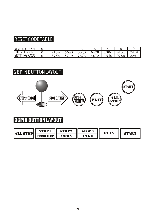# RESET CODE TABLE

| RESET CODE TYPE                                                 |         |          |          |                                       |      |                  |                                              |
|-----------------------------------------------------------------|---------|----------|----------|---------------------------------------|------|------------------|----------------------------------------------|
| $\sim$ $\sim$ $\sim$ $\sim$<br>RESE <sup>.</sup><br><b>UULL</b> | --      | 504<br>, | 802      | $\overline{\phantom{a}}$<br>79.<br>04 | 1306 | - -<br>-<br>---- | 7418                                         |
| <b>SETT</b><br>$\overline{100,0000}$<br>UV U<br><b>UULL</b>     | $\cdot$ | $\Omega$ | $-$<br>. | $\sim$ $\sim$                         | 74.  | 9786             | $22 - 7$<br>$\overline{\phantom{a}}$<br>---- |

# 28PIN BUTTON LAYOUT



# **36PIN BUTTON LAYOUT**

| <b>ALL STOP</b> | STOPI        | <b>STOP2</b> | <b>STOP3</b> | PLAY |              |  |
|-----------------|--------------|--------------|--------------|------|--------------|--|
|                 | DOUBLE UP II | odds         | <b>TAKE</b>  |      | <b>START</b> |  |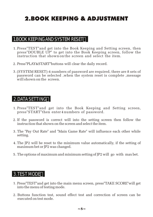# 2.BOOK KEEPING & ADJUSTMENT

### 1.BOOK KEEPING AND SYSTEM RESET

- 1. Press"TEST"and get into the Book Keeping and Setting screen, then press"DOUBLE UP" to get into the Book Keeping screen, follow the instruction that shown on the screen and select the item.
- 2. Press"PLAY&START"buttons will clear the daily record.
- (SYSTEM RESET):4 numbers of password are required, there are 8 sets of 3. password can be selected ,when the system reset is complete ,message will shown on the screen.

### 2.DATA SETTING

- 1. Press"TEST" and get into the Book Keeping and Setting screen, press"START"then enter 4 numbers of password.
- 2. If the password is correct will into the setting screen then follow the instruction that shown on the screen and select the item.
- The "Pay Out Rate" and "Main Game Rate" will influence each other while 3. setting.
- The JP2 will be reset to the minimum value automatically, if the setting of 4. maximum bet or JP2 was changed.
- 5. The options of maximum and minimum setting of JP2 will go with max bet.

### 3.TEST MODE

- 1. Press"TEST"and get into the main menu screen, press"TAKE SCORE"will get into the menu of testing mode.
- 2. Buttons function test, sound effect test and correction of screen can be executed on test mode.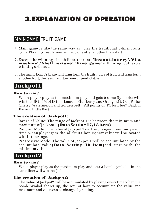# 3.EXPLANATION OF OPERATION

# MAIN GAME FRUIT GAME

- 1. Main game is like the same way as play the traditional 8-liner fruits game,Playing of each liner will add one after another then start.
- 2. Except the winning of each liner, there are"**Instant-lottery"."Slot** machine"."Shell fortune"."Free game"will bring out extra winning or bonus.
- The magic bomb's blaze will transform the fruits; juice of fruit will transform 3. another fruit, the result will become unpredictable.

# **Jackpot1**

#### How to win?

When player play as the maximum play and gets 9 same Symbols; will win the IP1. $(1/4$  of IP1 for Lemon, Blue berry and Orange), $(1/2)$  of IP1 for Cherry, Watermelon and Golden bell),(All points of JP1 for Blue7,Bar,Big Bar and Little Bar)

#### The creation of Jackpot1:

Range of Value: The range of Jackpot 1 is between the minimum and maximum of Jackpot 1 (Data Setting 17,18 item)

Random Mode: The value of Jackpot 1 will be changed randomly each time when player gets the all fruits bonus; new value will be located within the range.

Progressive Mode: The value of Jackpot 1 will be accumulated by the accumulate value(Data Setting 19 item)and start with the minimum value.

# **Jackpot2**

#### How to win?

When player play as the maximum play and gets 3 bomb symbols in the same line; will win the Jp2.

#### The creation of Jackpot2:

The value of Jackpot2 will be accumulated by playing every time when the bomb Symbol shows up, the way of how to accumulate the value and maximum and value can be changed by setting.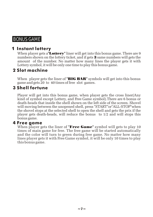# BONUS GAME

### 1 **Instant lottery**

When player gets a **Lottery**" liner will get into this bonus game. There are 9 numbers shown on the lottery ticket, and if gets 3 same numbers will gets the amount of the number. No matter how many lines the player gets it with Lottery symbol, it will be only one time to play this bonus game.

### **2 Slot machine**

When player gets the liner of "BIG BAR" symbols will get into this bonus game and gets 20 to 40 times of free slot games.

### **3 Shell fortune**

Player will get into this bonus game, when player gets the cross liner(Any kind of symbol except Lottery, and Free Game symbol).There are 6 bonus or death-heads that inside the shell shown on the left side of the screen. Shovel will moving between the unopened shell, press "START"or"ALL-STOP"when the shovel stops at the selected shell to open the shell and gets the prix if the player gets death-heads, will reduce the bonus to 1/2 and will stops this bonus game.

### **4 Free game**

When player gets the liner of "Free Game" symbol will gets to play 10 times of main game for free. The free game will be started automatically and the color will turn to green during free game. No matter how many lines player gets it with Free Game symbol, it will be only 10 times to play this bonus game.